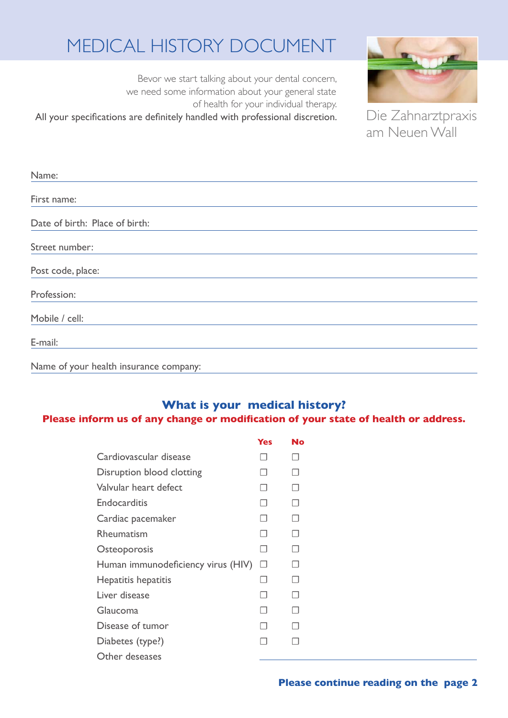## Medical history document

Bevor we start talking about your dental concern, we need some information about your general state of health for your individual therapy. All your specifications are definitely handled with professional discretion.



Die Zahnarztpraxis am Neuen Wall

| Name:                                  |
|----------------------------------------|
|                                        |
| First name:                            |
|                                        |
| Date of birth: Place of birth:         |
|                                        |
| Street number:                         |
|                                        |
| Post code, place:                      |
|                                        |
| Profession:                            |
|                                        |
| Mobile / cell:                         |
|                                        |
| E-mail:                                |
|                                        |
| Name of your health insurance company: |

## **What is your medical history?**

## **Please inform us of any change or modification of your state of health or address.**

|                                    | <b>Yes</b> | No     |
|------------------------------------|------------|--------|
| Cardiovascular disease             |            |        |
| Disruption blood clotting          |            |        |
| Valvular heart defect              | - 1        |        |
| Endocarditis                       | . .        | $\Box$ |
| Cardiac pacemaker                  |            |        |
| Rheumatism                         |            | $\Box$ |
| Osteoporosis                       |            | П      |
| Human immunodeficiency virus (HIV) | П          |        |
| Hepatitis hepatitis                | H          | П      |
| Liver disease                      | - 1        | H      |
| Glaucoma                           |            |        |
| Disease of tumor                   |            |        |
| Diabetes (type?)                   |            |        |
| Other deseases                     |            |        |